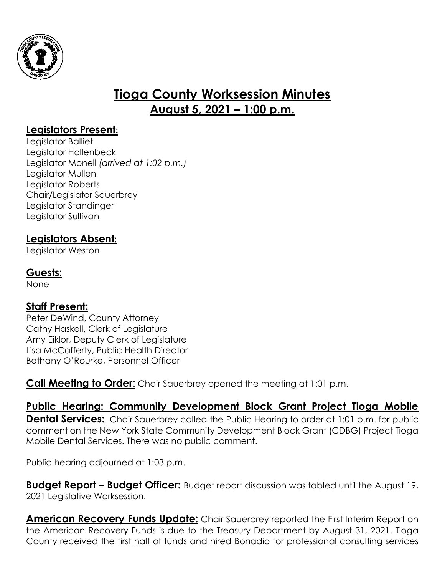

# **Tioga County Worksession Minutes August 5, 2021 – 1:00 p.m.**

### **Legislators Present:**

Legislator Balliet Legislator Hollenbeck Legislator Monell *(arrived at 1:02 p.m.)* Legislator Mullen Legislator Roberts Chair/Legislator Sauerbrey Legislator Standinger Legislator Sullivan

#### **Legislators Absent:**

Legislator Weston

#### **Guests:**

None

#### **Staff Present:**

Peter DeWind, County Attorney Cathy Haskell, Clerk of Legislature Amy Eiklor, Deputy Clerk of Legislature Lisa McCafferty, Public Health Director Bethany O'Rourke, Personnel Officer

**Call Meeting to Order:** Chair Sauerbrey opened the meeting at 1:01 p.m.

**Public Hearing: Community Development Block Grant Project Tioga Mobile Dental Services:** Chair Sauerbrey called the Public Hearing to order at 1:01 p.m. for public comment on the New York State Community Development Block Grant (CDBG) Project Tioga Mobile Dental Services. There was no public comment.

Public hearing adjourned at 1:03 p.m.

**Budget Report – Budget Officer:** Budget report discussion was tabled until the August 19, 2021 Legislative Worksession.

**American Recovery Funds Update:** Chair Sauerbrey reported the First Interim Report on the American Recovery Funds is due to the Treasury Department by August 31, 2021. Tioga County received the first half of funds and hired Bonadio for professional consulting services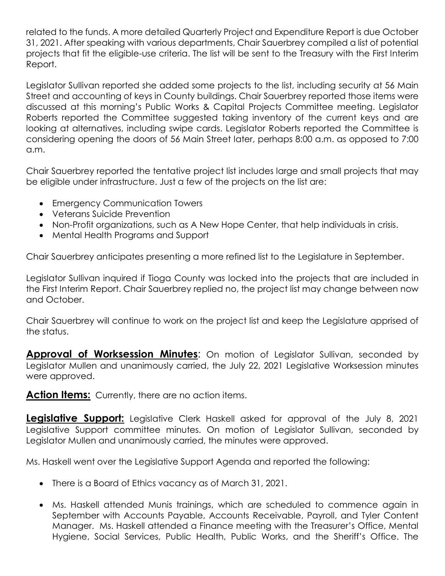related to the funds. A more detailed Quarterly Project and Expenditure Report is due October 31, 2021. After speaking with various departments, Chair Sauerbrey compiled a list of potential projects that fit the eligible-use criteria. The list will be sent to the Treasury with the First Interim Report.

Legislator Sullivan reported she added some projects to the list, including security at 56 Main Street and accounting of keys in County buildings. Chair Sauerbrey reported those items were discussed at this morning's Public Works & Capital Projects Committee meeting. Legislator Roberts reported the Committee suggested taking inventory of the current keys and are looking at alternatives, including swipe cards. Legislator Roberts reported the Committee is considering opening the doors of 56 Main Street later, perhaps 8:00 a.m. as opposed to 7:00 a.m.

Chair Sauerbrey reported the tentative project list includes large and small projects that may be eligible under infrastructure. Just a few of the projects on the list are:

- **•** Emergency Communication Towers
- Veterans Suicide Prevention
- Non-Profit organizations, such as A New Hope Center, that help individuals in crisis.
- Mental Health Programs and Support

Chair Sauerbrey anticipates presenting a more refined list to the Legislature in September.

Legislator Sullivan inquired if Tioga County was locked into the projects that are included in the First Interim Report. Chair Sauerbrey replied no, the project list may change between now and October.

Chair Sauerbrey will continue to work on the project list and keep the Legislature apprised of the status.

**Approval of Worksession Minutes:** On motion of Legislator Sullivan, seconded by Legislator Mullen and unanimously carried, the July 22, 2021 Legislative Worksession minutes were approved.

**Action Items:** Currently, there are no action items.

**Legislative Support:** Legislative Clerk Haskell asked for approval of the July 8, 2021 Legislative Support committee minutes. On motion of Legislator Sullivan, seconded by Legislator Mullen and unanimously carried, the minutes were approved.

Ms. Haskell went over the Legislative Support Agenda and reported the following:

- There is a Board of Ethics vacancy as of March 31, 2021.
- Ms. Haskell attended Munis trainings, which are scheduled to commence again in September with Accounts Payable, Accounts Receivable, Payroll, and Tyler Content Manager. Ms. Haskell attended a Finance meeting with the Treasurer's Office, Mental Hygiene, Social Services, Public Health, Public Works, and the Sheriff's Office. The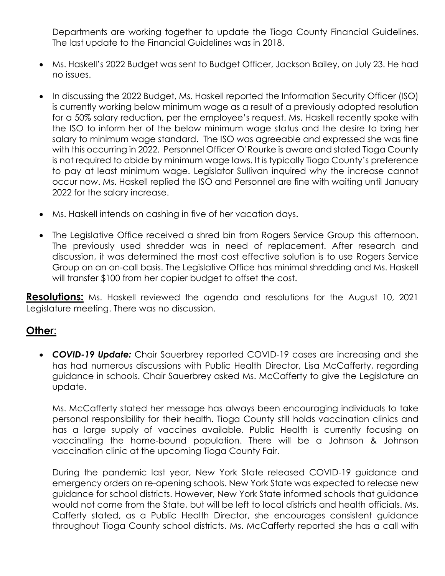Departments are working together to update the Tioga County Financial Guidelines. The last update to the Financial Guidelines was in 2018.

- Ms. Haskell's 2022 Budget was sent to Budget Officer, Jackson Bailey, on July 23. He had no issues.
- In discussing the 2022 Budget, Ms. Haskell reported the Information Security Officer (ISO) is currently working below minimum wage as a result of a previously adopted resolution for a 50% salary reduction, per the employee's request. Ms. Haskell recently spoke with the ISO to inform her of the below minimum wage status and the desire to bring her salary to minimum wage standard. The ISO was agreeable and expressed she was fine with this occurring in 2022. Personnel Officer O'Rourke is aware and stated Tioga County is not required to abide by minimum wage laws. It is typically Tioga County's preference to pay at least minimum wage. Legislator Sullivan inquired why the increase cannot occur now. Ms. Haskell replied the ISO and Personnel are fine with waiting until January 2022 for the salary increase.
- Ms. Haskell intends on cashing in five of her vacation days.
- The Legislative Office received a shred bin from Rogers Service Group this afternoon. The previously used shredder was in need of replacement. After research and discussion, it was determined the most cost effective solution is to use Rogers Service Group on an on-call basis. The Legislative Office has minimal shredding and Ms. Haskell will transfer \$100 from her copier budget to offset the cost.

**Resolutions:** Ms. Haskell reviewed the agenda and resolutions for the August 10, 2021 Legislature meeting. There was no discussion.

## **Other**:

 *COVID-19 Update:* Chair Sauerbrey reported COVID-19 cases are increasing and she has had numerous discussions with Public Health Director, Lisa McCafferty, regarding guidance in schools. Chair Sauerbrey asked Ms. McCafferty to give the Legislature an update.

Ms. McCafferty stated her message has always been encouraging individuals to take personal responsibility for their health. Tioga County still holds vaccination clinics and has a large supply of vaccines available. Public Health is currently focusing on vaccinating the home-bound population. There will be a Johnson & Johnson vaccination clinic at the upcoming Tioga County Fair.

During the pandemic last year, New York State released COVID-19 guidance and emergency orders on re-opening schools. New York State was expected to release new guidance for school districts. However, New York State informed schools that guidance would not come from the State, but will be left to local districts and health officials. Ms. Cafferty stated, as a Public Health Director, she encourages consistent guidance throughout Tioga County school districts. Ms. McCafferty reported she has a call with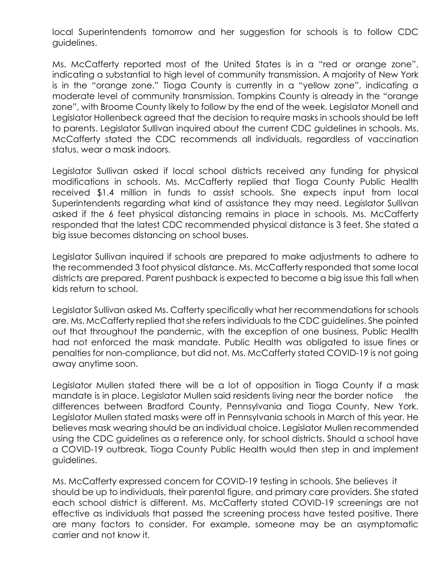local Superintendents tomorrow and her suggestion for schools is to follow CDC guidelines.

Ms. McCafferty reported most of the United States is in a "red or orange zone", indicating a substantial to high level of community transmission. A majority of New York is in the "orange zone." Tioga County is currently in a "yellow zone", indicating a moderate level of community transmission. Tompkins County is already in the "orange zone", with Broome County likely to follow by the end of the week. Legislator Monell and Legislator Hollenbeck agreed that the decision to require masks in schools should be left to parents. Legislator Sullivan inquired about the current CDC guidelines in schools. Ms. McCafferty stated the CDC recommends all individuals, regardless of vaccination status, wear a mask indoors.

Legislator Sullivan asked if local school districts received any funding for physical modifications in schools. Ms. McCafferty replied that Tioga County Public Health received \$1.4 million in funds to assist schools. She expects input from local Superintendents regarding what kind of assistance they may need. Legislator Sullivan asked if the 6 feet physical distancing remains in place in schools. Ms. McCafferty responded that the latest CDC recommended physical distance is 3 feet. She stated a big issue becomes distancing on school buses.

Legislator Sullivan inquired if schools are prepared to make adjustments to adhere to the recommended 3 foot physical distance. Ms. McCafferty responded that some local districts are prepared. Parent pushback is expected to become a big issue this fall when kids return to school.

Legislator Sullivan asked Ms. Cafferty specifically what her recommendations for schools are. Ms. McCafferty replied that she refers individuals to the CDC guidelines. She pointed out that throughout the pandemic, with the exception of one business, Public Health had not enforced the mask mandate. Public Health was obligated to issue fines or penalties for non-compliance, but did not. Ms. McCafferty stated COVID-19 is not going away anytime soon.

Legislator Mullen stated there will be a lot of opposition in Tioga County if a mask mandate is in place. Legislator Mullen said residents living near the border notice the differences between Bradford County, Pennsylvania and Tioga County, New York. Legislator Mullen stated masks were off in Pennsylvania schools in March of this year. He believes mask wearing should be an individual choice. Legislator Mullen recommended using the CDC guidelines as a reference only, for school districts. Should a school have a COVID-19 outbreak, Tioga County Public Health would then step in and implement guidelines.

Ms. McCafferty expressed concern for COVID-19 testing in schools. She believes it should be up to individuals, their parental figure, and primary care providers. She stated each school district is different. Ms. McCafferty stated COVID-19 screenings are not effective as individuals that passed the screening process have tested positive. There are many factors to consider. For example, someone may be an asymptomatic carrier and not know it.